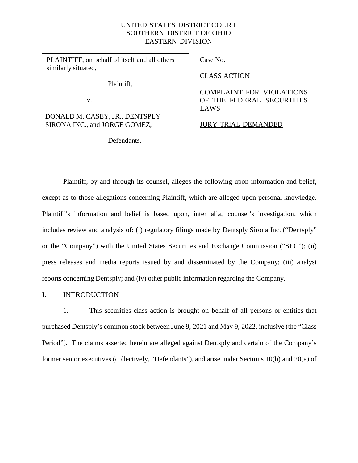## UNITED STATES DISTRICT COURT SOUTHERN DISTRICT OF OHIO EASTERN DIVISION

PLAINTIFF, on behalf of itself and all others similarly situated,

Plaintiff,

v.

DONALD M. CASEY, JR., DENTSPLY SIRONA INC., and JORGE GOMEZ,

Defendants.

Case No.

CLASS ACTION

COMPLAINT FOR VIOLATIONS OF THE FEDERAL SECURITIES LAWS

JURY TRIAL DEMANDED

Plaintiff, by and through its counsel, alleges the following upon information and belief, except as to those allegations concerning Plaintiff, which are alleged upon personal knowledge. Plaintiff's information and belief is based upon, inter alia, counsel's investigation, which includes review and analysis of: (i) regulatory filings made by Dentsply Sirona Inc. ("Dentsply" or the "Company") with the United States Securities and Exchange Commission ("SEC"); (ii) press releases and media reports issued by and disseminated by the Company; (iii) analyst reports concerning Dentsply; and (iv) other public information regarding the Company.

## I. INTRODUCTION

1. This securities class action is brought on behalf of all persons or entities that purchased Dentsply's common stock between June 9, 2021 and May 9, 2022, inclusive (the "Class Period"). The claims asserted herein are alleged against Dentsply and certain of the Company's former senior executives (collectively, "Defendants"), and arise under Sections 10(b) and 20(a) of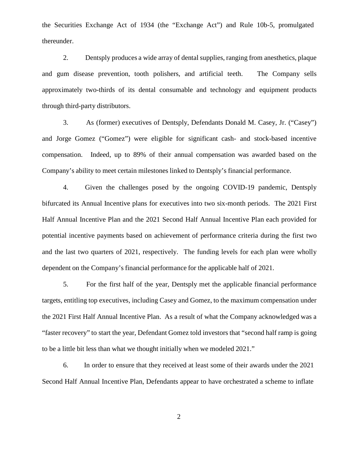the Securities Exchange Act of 1934 (the "Exchange Act") and Rule 10b-5, promulgated thereunder.

2. Dentsply produces a wide array of dental supplies, ranging from anesthetics, plaque and gum disease prevention, tooth polishers, and artificial teeth. The Company sells approximately two-thirds of its dental consumable and technology and equipment products through third-party distributors.

3. As (former) executives of Dentsply, Defendants Donald M. Casey, Jr. ("Casey") and Jorge Gomez ("Gomez") were eligible for significant cash- and stock-based incentive compensation. Indeed, up to 89% of their annual compensation was awarded based on the Company's ability to meet certain milestones linked to Dentsply's financial performance.

4. Given the challenges posed by the ongoing COVID-19 pandemic, Dentsply bifurcated its Annual Incentive plans for executives into two six-month periods. The 2021 First Half Annual Incentive Plan and the 2021 Second Half Annual Incentive Plan each provided for potential incentive payments based on achievement of performance criteria during the first two and the last two quarters of 2021, respectively. The funding levels for each plan were wholly dependent on the Company's financial performance for the applicable half of 2021.

5. For the first half of the year, Dentsply met the applicable financial performance targets, entitling top executives, including Casey and Gomez, to the maximum compensation under the 2021 First Half Annual Incentive Plan. As a result of what the Company acknowledged was a "faster recovery" to start the year, Defendant Gomez told investors that "second half ramp is going to be a little bit less than what we thought initially when we modeled 2021."

6. In order to ensure that they received at least some of their awards under the 2021 Second Half Annual Incentive Plan, Defendants appear to have orchestrated a scheme to inflate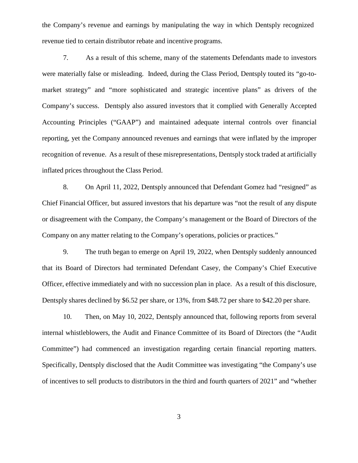the Company's revenue and earnings by manipulating the way in which Dentsply recognized revenue tied to certain distributor rebate and incentive programs.

7. As a result of this scheme, many of the statements Defendants made to investors were materially false or misleading. Indeed, during the Class Period, Dentsply touted its "go-to market strategy" and "more sophisticated and strategic incentive plans" as drivers of the Company's success. Dentsply also assured investors that it complied with Generally Accepted Accounting Principles ("GAAP") and maintained adequate internal controls over financial reporting, yet the Company announced revenues and earnings that were inflated by the improper recognition of revenue. As a result of these misrepresentations, Dentsply stock traded at artificially inflated prices throughout the Class Period.

8. On April 11, 2022, Dentsply announced that Defendant Gomez had "resigned" as Chief Financial Officer, but assured investors that his departure was "not the result of any dispute or disagreement with the Company, the Company's management or the Board of Directors of the Company on any matter relating to the Company's operations, policies or practices."

9. The truth began to emerge on April 19, 2022, when Dentsply suddenly announced that its Board of Directors had terminated Defendant Casey, the Company's Chief Executive Officer, effective immediately and with no succession plan in place. As a result of this disclosure, Dentsply shares declined by \$6.52 per share, or 13%, from \$48.72 per share to \$42.20 per share.

10. Then, on May 10, 2022, Dentsply announced that, following reports from several internal whistleblowers, the Audit and Finance Committee of its Board of Directors (the "Audit Committee") had commenced an investigation regarding certain financial reporting matters. Specifically, Dentsply disclosed that the Audit Committee was investigating "the Company's use of incentives to sell products to distributors in the third and fourth quarters of 2021" and "whether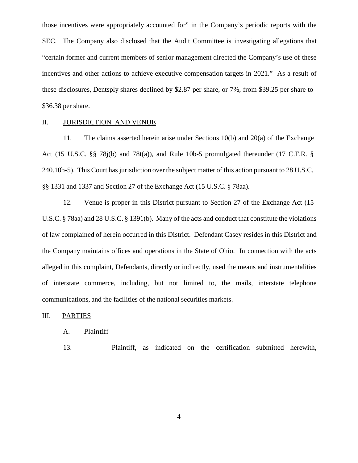those incentives were appropriately accounted for" in the Company's periodic reports with the SEC. The Company also disclosed that the Audit Committee is investigating allegations that "certain former and current members of senior management directed the Company's use of these incentives and other actions to achieve executive compensation targets in 2021." As a result of these disclosures, Dentsply shares declined by \$2.87 per share, or 7%, from \$39.25 per share to \$36.38 per share.

### II. JURISDICTION AND VENUE

11. The claims asserted herein arise under Sections 10(b) and 20(a) of the Exchange Act (15 U.S.C. §§ 78j(b) and 78t(a)), and Rule 10b-5 promulgated thereunder (17 C.F.R. § 240.10b-5). This Court has jurisdiction over the subject matter of this action pursuant to 28 U.S.C. §§ 1331 and 1337 and Section 27 of the Exchange Act (15 U.S.C. § 78aa).

12. Venue is proper in this District pursuant to Section 27 of the Exchange Act (15 U.S.C. § 78aa) and 28 U.S.C. § 1391(b). Many of the acts and conduct that constitute the violations of law complained of herein occurred in this District. Defendant Casey resides in this District and the Company maintains offices and operations in the State of Ohio. In connection with the acts alleged in this complaint, Defendants, directly or indirectly, used the means and instrumentalities of interstate commerce, including, but not limited to, the mails, interstate telephone communications, and the facilities of the national securities markets.

## III. PARTIES

## A. Plaintiff

13. Plaintiff, as indicated on the certification submitted herewith,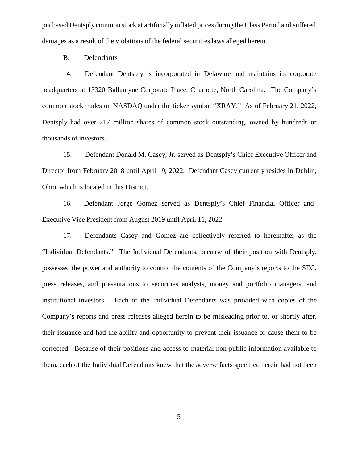puchased Dentsply common stock at artificially inflated prices during the Class Period and suffered damages as a result of the violations of the federal securities laws alleged herein.

B. Defendants

14. Defendant Dentsply is incorporated in Delaware and maintains its corporate headquarters at 13320 Ballantyne Corporate Place, Charlotte, North Carolina. The Company's common stock trades on NASDAQ under the ticker symbol "XRAY." As of February 21, 2022, Dentsply had over 217 million shares of common stock outstanding, owned by hundreds or thousands of investors.

15. Defendant Donald M. Casey, Jr. served as Dentsply's Chief Executive Officer and Director from February 2018 until April 19, 2022. Defendant Casey currently resides in Dublin, Ohio, which is located in this District.

16. Defendant Jorge Gomez served as Dentsply's Chief Financial Officer and Executive Vice President from August 2019 until April 11, 2022.

17. Defendants Casey and Gomez are collectively referred to hereinafter as the "Individual Defendants." The Individual Defendants, because of their position with Dentsply, possessed the power and authority to control the contents of the Company's reports to the SEC, press releases, and presentations to securities analysts, money and portfolio managers, and institutional investors. Each of the Individual Defendants was provided with copies of the Company's reports and press releases alleged herein to be misleading prior to, or shortly after, their issuance and had the ability and opportunity to prevent their issuance or cause them to be corrected. Because of their positions and access to material non-public information available to them, each of the Individual Defendants knew that the adverse facts specified herein had not been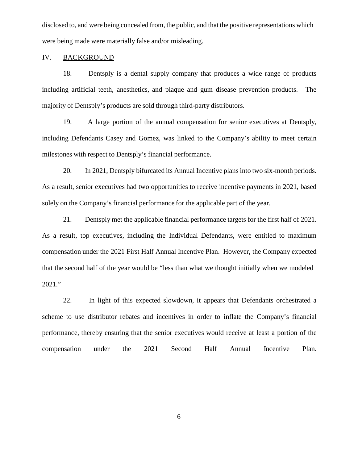disclosed to, and were being concealed from, the public, and that the positive representations which were being made were materially false and/or misleading.

#### IV. BACKGROUND

18. Dentsply is a dental supply company that produces a wide range of products including artificial teeth, anesthetics, and plaque and gum disease prevention products. The majority of Dentsply's products are sold through third-party distributors.

19. A large portion of the annual compensation for senior executives at Dentsply, including Defendants Casey and Gomez, was linked to the Company's ability to meet certain milestones with respect to Dentsply's financial performance.

20. In 2021, Dentsply bifurcated its Annual Incentive plans into two six-month periods. As a result, senior executives had two opportunities to receive incentive payments in 2021, based solely on the Company's financial performance for the applicable part of the year.

21. Dentsply met the applicable financial performance targets for the first half of 2021. As a result, top executives, including the Individual Defendants, were entitled to maximum compensation under the 2021 First Half Annual Incentive Plan. However, the Company expected that the second half of the year would be "less than what we thought initially when we modeled 2021."

22. In light of this expected slowdown, it appears that Defendants orchestrated a scheme to use distributor rebates and incentives in order to inflate the Company's financial performance, thereby ensuring that the senior executives would receive at least a portion of the compensation under the 2021 Second Half Annual Incentive Plan.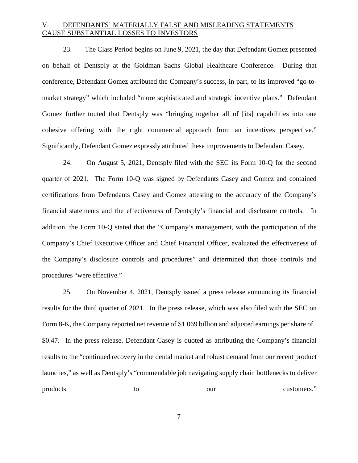# V. DEFENDANTS' MATERIALLY FALSE AND MISLEADING STATEMENTS CAUSE SUBSTANTIAL LOSSES TO INVESTORS

23. The Class Period begins on June 9, 2021, the day that Defendant Gomez presented on behalf of Dentsply at the Goldman Sachs Global Healthcare Conference. During that conference, Defendant Gomez attributed the Company's success, in part, to its improved "go-to market strategy" which included "more sophisticated and strategic incentive plans." Defendant Gomez further touted that Dentsply was "bringing together all of [its] capabilities into one cohesive offering with the right commercial approach from an incentives perspective." Significantly, Defendant Gomez expressly attributed these improvements to Defendant Casey.

24. On August 5, 2021, Dentsply filed with the SEC its Form 10-Q for the second quarter of 2021. The Form 10-Q was signed by Defendants Casey and Gomez and contained certifications from Defendants Casey and Gomez attesting to the accuracy of the Company's financial statements and the effectiveness of Dentsply's financial and disclosure controls. In addition, the Form 10-Q stated that the "Company's management, with the participation of the Company's Chief Executive Officer and Chief Financial Officer, evaluated the effectiveness of the Company's disclosure controls and procedures" and determined that those controls and procedures "were effective."

25. On November 4, 2021, Dentsply issued a press release announcing its financial results for the third quarter of 2021. In the press release, which was also filed with the SEC on Form 8-K, the Company reported net revenue of \$1.069 billion and adjusted earnings per share of \$0.47. In the press release, Defendant Casey is quoted as attributing the Company's financial results to the "continued recovery in the dental market and robust demand from our recent product launches," as well as Dentsply's "commendable job navigating supply chain bottlenecks to deliver products to our customers."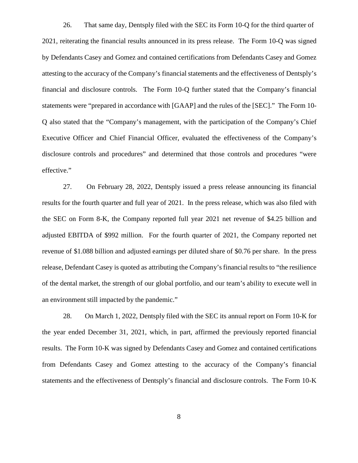26. That same day, Dentsply filed with the SEC its Form 10-Q for the third quarter of 2021, reiterating the financial results announced in its press release. The Form 10-Q was signed by Defendants Casey and Gomez and contained certifications from Defendants Casey and Gomez attesting to the accuracy of the Company's financial statements and the effectiveness of Dentsply's financial and disclosure controls. The Form 10-Q further stated that the Company's financial statements were "prepared in accordance with [GAAP] and the rules of the [SEC]." The Form 10- Q also stated that the "Company's management, with the participation of the Company's Chief Executive Officer and Chief Financial Officer, evaluated the effectiveness of the Company's disclosure controls and procedures" and determined that those controls and procedures "were effective."

27. On February 28, 2022, Dentsply issued a press release announcing its financial results for the fourth quarter and full year of 2021. In the press release, which was also filed with the SEC on Form 8-K, the Company reported full year 2021 net revenue of \$4.25 billion and adjusted EBITDA of \$992 million. For the fourth quarter of 2021, the Company reported net revenue of \$1.088 billion and adjusted earnings per diluted share of \$0.76 per share. In the press release, Defendant Casey is quoted as attributing the Company's financial results to "the resilience" of the dental market, the strength of our global portfolio, and our team's ability to execute well in an environment still impacted by the pandemic."

28. On March 1, 2022, Dentsply filed with the SEC its annual report on Form 10-K for the year ended December 31, 2021, which, in part, affirmed the previously reported financial results. The Form 10-K was signed by Defendants Casey and Gomez and contained certifications from Defendants Casey and Gomez attesting to the accuracy of the Company's financial statements and the effectiveness of Dentsply's financial and disclosure controls. The Form 10-K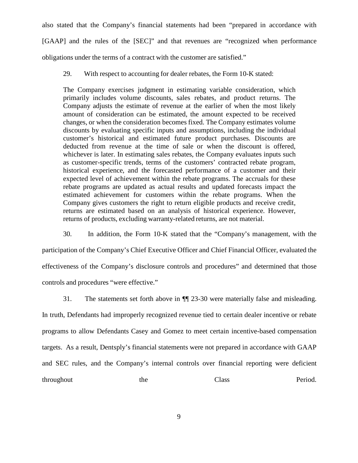also stated that the Company's financial statements had been "prepared in accordance with [GAAP] and the rules of the [SEC]" and that revenues are "recognized when performance

obligations under the terms of a contract with the customer are satisfied."

29. With respect to accounting for dealer rebates, the Form 10-K stated:

The Company exercises judgment in estimating variable consideration, which primarily includes volume discounts, sales rebates, and product returns. The Company adjusts the estimate of revenue at the earlier of when the most likely amount of consideration can be estimated, the amount expected to be received changes, or when the consideration becomes fixed. The Company estimates volume discounts by evaluating specific inputs and assumptions, including the individual customer's historical and estimated future product purchases. Discounts are deducted from revenue at the time of sale or when the discount is offered, whichever is later. In estimating sales rebates, the Company evaluates inputs such as customer-specific trends, terms of the customers' contracted rebate program, historical experience, and the forecasted performance of a customer and their expected level of achievement within the rebate programs. The accruals for these rebate programs are updated as actual results and updated forecasts impact the estimated achievement for customers within the rebate programs. When the Company gives customers the right to return eligible products and receive credit, returns are estimated based on an analysis of historical experience. However, returns of products, excluding warranty-related returns, are not material.

30. In addition, the Form 10-K stated that the "Company's management, with the

participation of the Company's Chief Executive Officer and Chief Financial Officer, evaluated the effectiveness of the Company's disclosure controls and procedures" and determined that those controls and procedures "were effective."

31. The statements set forth above in ¶¶ 23-30 were materially false and misleading. In truth, Defendants had improperly recognized revenue tied to certain dealer incentive or rebate programs to allow Defendants Casey and Gomez to meet certain incentive-based compensation targets. As a result, Dentsply's financial statements were not prepared in accordance with GAAP and SEC rules, and the Company's internal controls over financial reporting were deficient throughout the Class Period.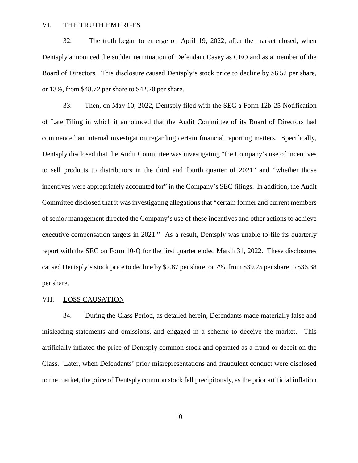#### VI. THE TRUTH EMERGES

32. The truth began to emerge on April 19, 2022, after the market closed, when Dentsply announced the sudden termination of Defendant Casey as CEO and as a member of the Board of Directors. This disclosure caused Dentsply's stock price to decline by \$6.52 per share, or 13%, from \$48.72 per share to \$42.20 per share.

33. Then, on May 10, 2022, Dentsply filed with the SEC a Form 12b-25 Notification of Late Filing in which it announced that the Audit Committee of its Board of Directors had commenced an internal investigation regarding certain financial reporting matters. Specifically, Dentsply disclosed that the Audit Committee was investigating "the Company's use of incentives to sell products to distributors in the third and fourth quarter of 2021" and "whether those incentives were appropriately accounted for" in the Company's SEC filings. In addition, the Audit Committee disclosed that it was investigating allegations that "certain former and current members of senior management directed the Company's use of these incentives and other actions to achieve executive compensation targets in 2021." As a result, Dentsply was unable to file its quarterly report with the SEC on Form 10-Q for the first quarter ended March 31, 2022. These disclosures caused Dentsply's stock price to decline by \$2.87 per share, or 7%, from \$39.25 pershare to \$36.38 per share.

## VII. LOSS CAUSATION

34. During the Class Period, as detailed herein, Defendants made materially false and misleading statements and omissions, and engaged in a scheme to deceive the market. This artificially inflated the price of Dentsply common stock and operated as a fraud or deceit on the Class. Later, when Defendants' prior misrepresentations and fraudulent conduct were disclosed to the market, the price of Dentsply common stock fell precipitously, as the prior artificial inflation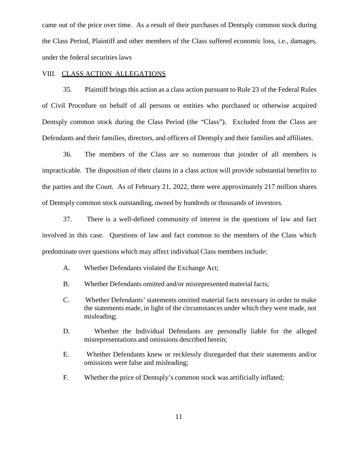came out of the price over time. As a result of their purchases of Dentsply common stock during the Class Period, Plaintiff and other members of the Class suffered economic loss, i.e., damages, under the federal securities laws

## VIII. CLASS ACTION ALLEGATIONS

35. Plaintiff brings this action as a class action pursuant to Rule 23 of the Federal Rules of Civil Procedure on behalf of all persons or entities who purchased orotherwise acquired Dentsply common stock during the Class Period (the "Class"). Excluded from the Class are Defendants and their families, directors, and officers of Dentsply and their families and affiliates.

36. The members of the Class are so numerous that joinder of all members is impracticable. The disposition of their claims in a class action will provide substantial benefits to the parties and the Court. As of February 21, 2022, there were approximately 217 million shares of Dentsply common stock outstanding, owned by hundreds or thousands of investors.

37. There is a well-defined community of interest in the questions of law and fact involved in this case. Questions of law and fact common to the members of the Class which predominate over questions which may affect individual Class members include:

- A. Whether Defendants violated the Exchange Act;
- B. Whether Defendants omitted and/or misrepresented material facts;
- C. Whether Defendants' statements omitted material facts necessary in order to make the statements made, in light of the circumstances under which they were made, not misleading;
- D. Whether the Individual Defendants are personally liable for the alleged misrepresentations and omissions described herein;
- E. Whether Defendants knew or recklessly disregarded that their statements and/or omissions were false and misleading;
- F. Whether the price of Dentsply's common stock was artificially inflated;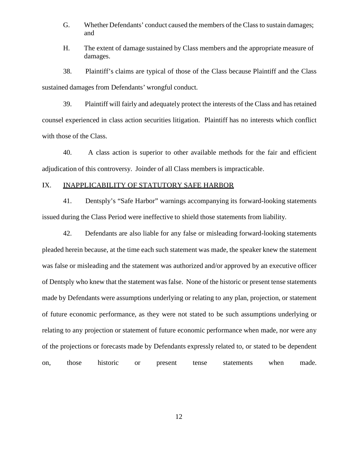- G. Whether Defendants' conduct caused the members of the Class to sustain damages; and
- H. The extent of damage sustained by Class members and the appropriate measure of damages.

38. Plaintiff's claims are typical of those of the Class because Plaintiff and the Class sustained damages from Defendants' wrongful conduct.

39. Plaintiff will fairly and adequately protect the interests of the Class and has retained counsel experienced in class action securities litigation. Plaintiff has no interests which conflict with those of the Class.

40. A class action is superior to other available methods for the fair and efficient adjudication of this controversy. Joinder of all Class members is impracticable.

## IX. INAPPLICABILITY OF STATUTORY SAFE HARBOR

41. Dentsply's "Safe Harbor" warnings accompanying its forward-looking statements issued during the Class Period were ineffective to shield those statements from liability.

42. Defendants are also liable for any false or misleading forward-looking statements pleaded herein because, at the time each such statement was made, the speaker knew the statement was false or misleading and the statement was authorized and/or approved by an executive officer of Dentsply who knew that the statement wasfalse. None of the historic or present tense statements made by Defendants were assumptions underlying or relating to any plan, projection, or statement of future economic performance, as they were not stated to be such assumptions underlying or relating to any projection or statement of future economic performance when made, nor were any of the projections or forecasts made by Defendants expressly related to, or stated to be dependent on, those historic or present tense statements when made.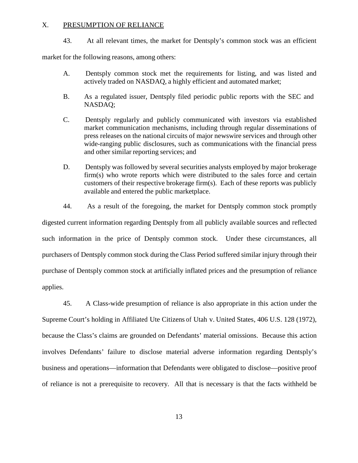#### X. PRESUMPTION OF RELIANCE

43. At all relevant times, the market for Dentsply's common stock was an efficient

market for the following reasons, among others:

- A. Dentsply common stock met the requirements for listing, and was listed and actively traded on NASDAQ, a highly efficient and automated market;
- B. As a regulated issuer, Dentsply filed periodic public reports with the SEC and NASDAQ;
- C. Dentsply regularly and publicly communicated with investors via established market communication mechanisms, including through regular disseminations of press releases on the national circuits of major newswire services and through other wide-ranging public disclosures, such as communications with the financial press and other similar reporting services; and
- D. Dentsply was followed by several securities analysts employed by major brokerage firm(s) who wrote reports which were distributed to the sales force and certain customers of their respective brokerage firm(s). Each of these reports was publicly available and entered the public marketplace.
- 44. As a result of the foregoing, the market for Dentsply common stock promptly

digested current information regarding Dentsply from all publicly available sources and reflected such information in the price of Dentsply common stock. Under these circumstances, all purchasers of Dentsply common stock during the Class Period suffered similar injury through their purchase of Dentsply common stock at artificially inflated prices and the presumption of reliance applies.

45. A Class-wide presumption of reliance is also appropriate in this action under the Supreme Court's holding in Affiliated Ute Citizens of Utah v. United States, 406 U.S. 128 (1972), because the Class's claims are grounded on Defendants' material omissions. Because this action involves Defendants' failure to disclose material adverse information regarding Dentsply's business and operations—information that Defendants were obligated to disclose—positive proof of reliance is not a prerequisite to recovery. All that is necessary is that the facts withheld be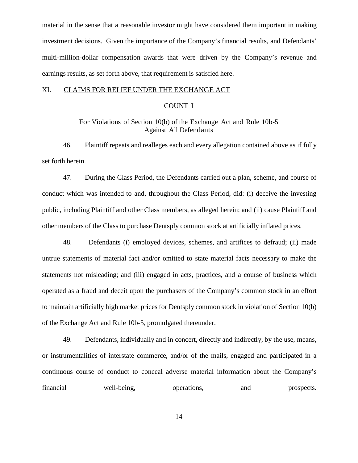material in the sense that a reasonable investor might have considered them important in making investment decisions. Given the importance of the Company's financial results, and Defendants' multi-million-dollar compensation awards that were driven by the Company's revenue and earnings results, as set forth above, that requirement is satisfied here.

### XI. CLAIMS FOR RELIEF UNDER THE EXCHANGE ACT

## COUNT I

## For Violations of Section 10(b) of the Exchange Act and Rule 10b-5 Against All Defendants

46. Plaintiff repeats and realleges each and every allegation contained above as if fully set forth herein.

47. During the Class Period, the Defendants carried out a plan, scheme, and course of conduct which was intended to and, throughout the Class Period, did: (i) deceive the investing public, including Plaintiff and other Class members, as alleged herein; and (ii) cause Plaintiff and other members of the Class to purchase Dentsply common stock at artificially inflated prices.

48. Defendants (i) employed devices, schemes, and artifices to defraud; (ii) made untrue statements of material fact and/or omitted to state material facts necessary to make the statements not misleading; and (iii) engaged in acts, practices, and a course of business which operated as a fraud and deceit upon the purchasers of the Company's common stock in an effort to maintain artificially high market prices for Dentsply common stock in violation of Section 10(b) of the Exchange Act and Rule 10b-5, promulgated thereunder.

49. Defendants, individually and in concert, directly and indirectly, by the use, means, or instrumentalities of interstate commerce, and/or of the mails, engaged and participated in a continuous course of conduct to conceal adverse material information about the Company's financial well-being, operations, and prospects.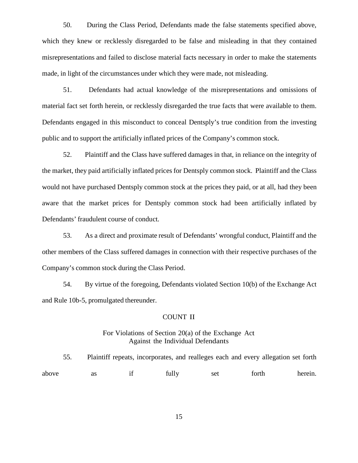50. During the Class Period, Defendants made the false statements specified above, which they knew or recklessly disregarded to be false and misleading in that they contained misrepresentations and failed to disclose material facts necessary in order to make the statements made, in light of the circumstances under which they were made, not misleading.

51. Defendants had actual knowledge of the misrepresentations and omissions of material fact set forth herein, or recklessly disregarded the true facts that were available to them. Defendants engaged in this misconduct to conceal Dentsply's true condition from the investing public and to support the artificially inflated prices of the Company's common stock.

52. Plaintiff and the Class have suffered damages in that, in reliance on the integrity of the market, they paid artificially inflated prices for Dentsply common stock. Plaintiff and the Class would not have purchased Dentsply common stock at the prices they paid, or at all, had they been aware that the market prices for Dentsply common stock had been artificially inflated by Defendants' fraudulent course of conduct.

53. As a direct and proximate result of Defendants' wrongful conduct, Plaintiff and the other members of the Class suffered damages in connection with their respective purchases of the Company's common stock during the Class Period.

54. By virtue of the foregoing, Defendants violated Section 10(b) of the Exchange Act and Rule 10b-5, promulgated thereunder.

#### COUNT II

### For Violations of Section 20(a) of the Exchange Act Against the Individual Defendants

55. Plaintiff repeats, incorporates, and realleges each and every allegation set forth above as if fully set forth herein.